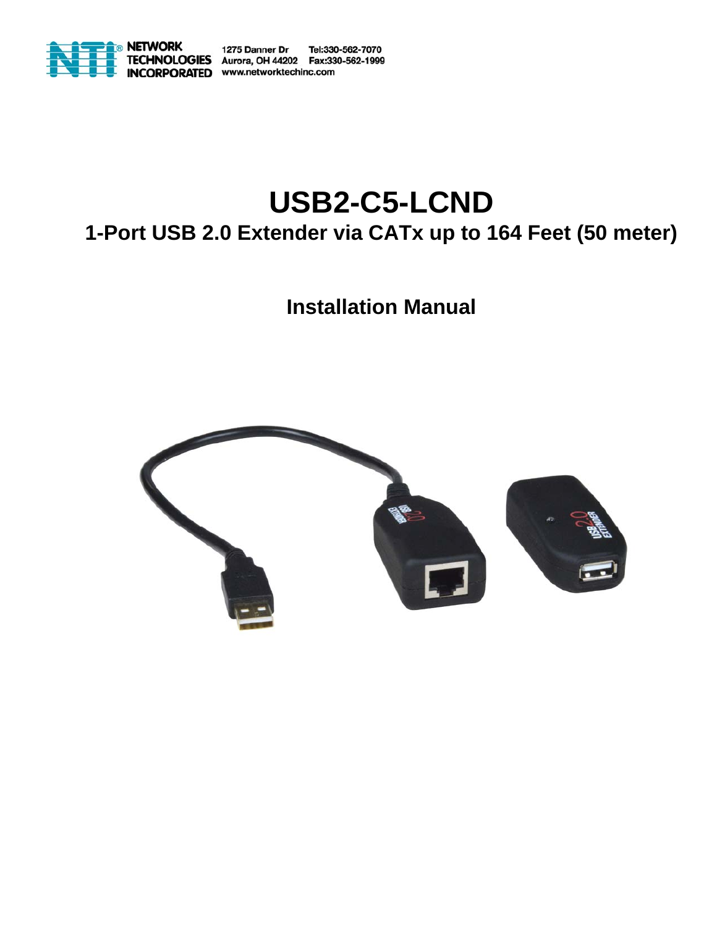

1275 Danner Dr Tel:330-562-7070 **OGIES** Aurora, OH 44202 Fax:330-562-1999 ORPORATED www.networktechinc.com

# **USB2-C5-LCND 1-Port USB 2.0 Extender via CATx up to 164 Feet (50 meter)**

## **Installation Manual**